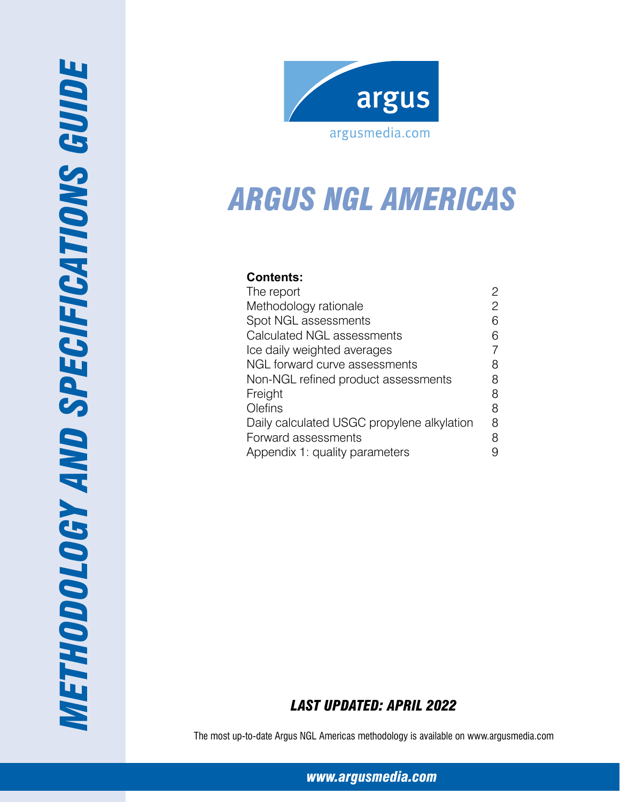



# *Arg us NGL Americas*

## **Contents:**

| 2 |
|---|
| 6 |
| 6 |
|   |
| 8 |
| 8 |
| 8 |
| 8 |
| 8 |
| 8 |
|   |
|   |

## *Last Updated: April 2022*

The most up-to-date Argus NGL Americas methodology is available on www.argusmedia.com

*[www.argusmedia.com](http://www.argusmedia.com)*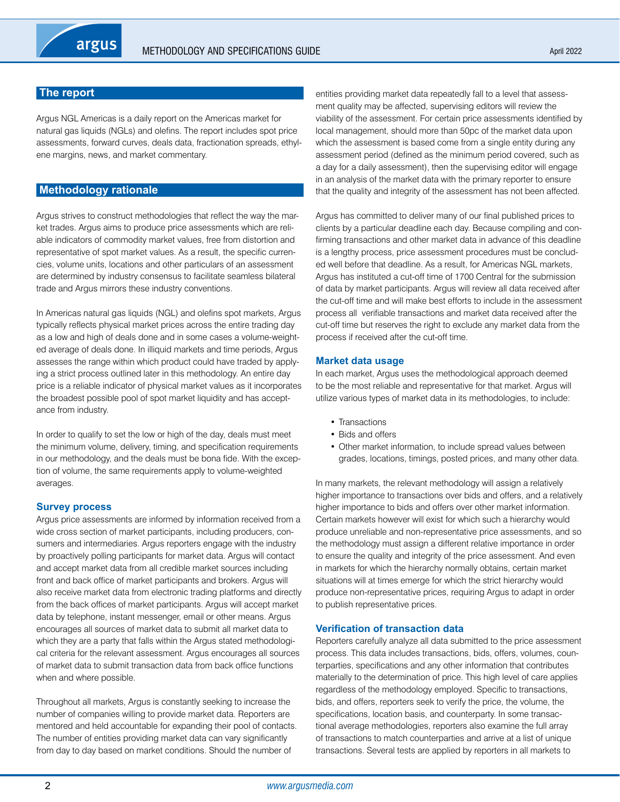## <span id="page-1-0"></span>**The report**

Argus NGL Americas is a daily report on the Americas market for natural gas liquids (NGLs) and olefins. The report includes spot price assessments, forward curves, deals data, fractionation spreads, ethylene margins, news, and market commentary.

## **Methodology rationale**

Argus strives to construct methodologies that reflect the way the market trades. Argus aims to produce price assessments which are reliable indicators of commodity market values, free from distortion and representative of spot market values. As a result, the specific currencies, volume units, locations and other particulars of an assessment are determined by industry consensus to facilitate seamless bilateral trade and Argus mirrors these industry conventions.

In Americas natural gas liquids (NGL) and olefins spot markets, Argus typically reflects physical market prices across the entire trading day as a low and high of deals done and in some cases a volume-weighted average of deals done. In illiquid markets and time periods, Argus assesses the range within which product could have traded by applying a strict process outlined later in this methodology. An entire day price is a reliable indicator of physical market values as it incorporates the broadest possible pool of spot market liquidity and has acceptance from industry.

In order to qualify to set the low or high of the day, deals must meet the minimum volume, delivery, timing, and specification requirements in our methodology, and the deals must be bona fide. With the exception of volume, the same requirements apply to volume-weighted averages.

## **Survey process**

Argus price assessments are informed by information received from a wide cross section of market participants, including producers, consumers and intermediaries. Argus reporters engage with the industry by proactively polling participants for market data. Argus will contact and accept market data from all credible market sources including front and back office of market participants and brokers. Argus will also receive market data from electronic trading platforms and directly from the back offices of market participants. Argus will accept market data by telephone, instant messenger, email or other means. Argus encourages all sources of market data to submit all market data to which they are a party that falls within the Argus stated methodological criteria for the relevant assessment. Argus encourages all sources of market data to submit transaction data from back office functions when and where possible.

Throughout all markets, Argus is constantly seeking to increase the number of companies willing to provide market data. Reporters are mentored and held accountable for expanding their pool of contacts. The number of entities providing market data can vary significantly from day to day based on market conditions. Should the number of

entities providing market data repeatedly fall to a level that assessment quality may be affected, supervising editors will review the viability of the assessment. For certain price assessments identified by local management, should more than 50pc of the market data upon which the assessment is based come from a single entity during any assessment period (defined as the minimum period covered, such as a day for a daily assessment), then the supervising editor will engage in an analysis of the market data with the primary reporter to ensure that the quality and integrity of the assessment has not been affected.

Argus has committed to deliver many of our final published prices to clients by a particular deadline each day. Because compiling and confirming transactions and other market data in advance of this deadline is a lengthy process, price assessment procedures must be concluded well before that deadline. As a result, for Americas NGL markets, Argus has instituted a cut-off time of 1700 Central for the submission of data by market participants. Argus will review all data received after the cut-off time and will make best efforts to include in the assessment process all verifiable transactions and market data received after the cut-off time but reserves the right to exclude any market data from the process if received after the cut-off time.

## **Market data usage**

In each market, Argus uses the methodological approach deemed to be the most reliable and representative for that market. Argus will utilize various types of market data in its methodologies, to include:

- Transactions
- Bids and offers
- Other market information, to include spread values between grades, locations, timings, posted prices, and many other data.

In many markets, the relevant methodology will assign a relatively higher importance to transactions over bids and offers, and a relatively higher importance to bids and offers over other market information. Certain markets however will exist for which such a hierarchy would produce unreliable and non-representative price assessments, and so the methodology must assign a different relative importance in order to ensure the quality and integrity of the price assessment. And even in markets for which the hierarchy normally obtains, certain market situations will at times emerge for which the strict hierarchy would produce non-representative prices, requiring Argus to adapt in order to publish representative prices.

## **Verification of transaction data**

Reporters carefully analyze all data submitted to the price assessment process. This data includes transactions, bids, offers, volumes, counterparties, specifications and any other information that contributes materially to the determination of price. This high level of care applies regardless of the methodology employed. Specific to transactions, bids, and offers, reporters seek to verify the price, the volume, the specifications, location basis, and counterparty. In some transactional average methodologies, reporters also examine the full array of transactions to match counterparties and arrive at a list of unique transactions. Several tests are applied by reporters in all markets to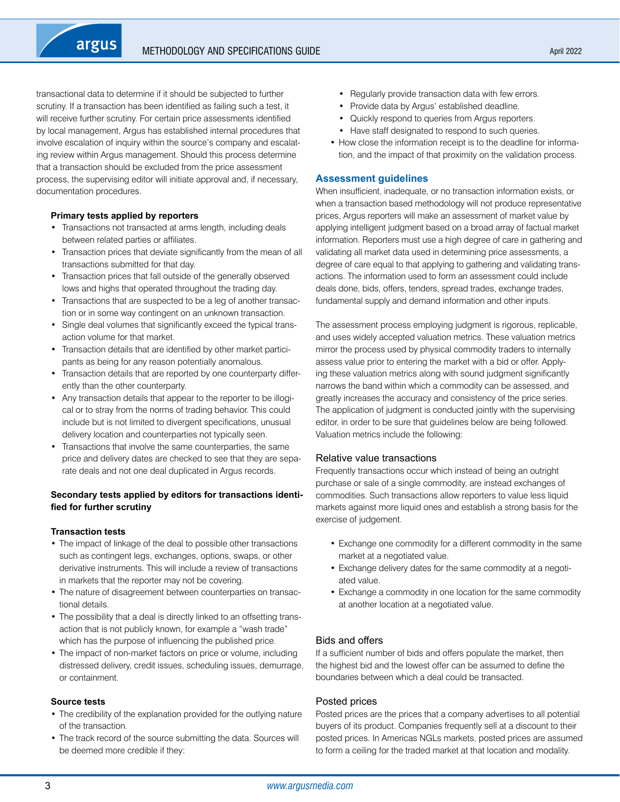transactional data to determine if it should be subjected to further scrutiny. If a transaction has been identified as failing such a test, it will receive further scrutiny. For certain price assessments identified by local management, Argus has established internal procedures that involve escalation of inquiry within the source's company and escalating review within Argus management. Should this process determine that a transaction should be excluded from the price assessment process, the supervising editor will initiate approval and, if necessary, documentation procedures.

#### **Primary tests applied by reporters**

argus

- Transactions not transacted at arms length, including deals between related parties or affiliates.
- Transaction prices that deviate significantly from the mean of all transactions submitted for that day.
- Transaction prices that fall outside of the generally observed lows and highs that operated throughout the trading day.
- Transactions that are suspected to be a leg of another transaction or in some way contingent on an unknown transaction.
- Single deal volumes that significantly exceed the typical transaction volume for that market.
- Transaction details that are identified by other market participants as being for any reason potentially anomalous.
- Transaction details that are reported by one counterparty differently than the other counterparty.
- Any transaction details that appear to the reporter to be illogical or to stray from the norms of trading behavior. This could include but is not limited to divergent specifications, unusual delivery location and counterparties not typically seen.
- Transactions that involve the same counterparties, the same price and delivery dates are checked to see that they are separate deals and not one deal duplicated in Argus records.

#### **Secondary tests applied by editors for transactions identified for further scrutiny**

#### **Transaction tests**

- The impact of linkage of the deal to possible other transactions such as contingent legs, exchanges, options, swaps, or other derivative instruments. This will include a review of transactions in markets that the reporter may not be covering.
- The nature of disagreement between counterparties on transactional details.
- The possibility that a deal is directly linked to an offsetting transaction that is not publicly known, for example a "wash trade" which has the purpose of influencing the published price.
- The impact of non-market factors on price or volume, including distressed delivery, credit issues, scheduling issues, demurrage, or containment.

#### **Source tests**

- The credibility of the explanation provided for the outlying nature of the transaction.
- The track record of the source submitting the data. Sources will be deemed more credible if they:
- Regularly provide transaction data with few errors.
- Provide data by Argus' established deadline.
- Quickly respond to queries from Argus reporters.
- Have staff designated to respond to such queries.
- How close the information receipt is to the deadline for information, and the impact of that proximity on the validation process.

#### **Assessment guidelines**

When insufficient, inadequate, or no transaction information exists, or when a transaction based methodology will not produce representative prices, Argus reporters will make an assessment of market value by applying intelligent judgment based on a broad array of factual market information. Reporters must use a high degree of care in gathering and validating all market data used in determining price assessments, a degree of care equal to that applying to gathering and validating transactions. The information used to form an assessment could include deals done, bids, offers, tenders, spread trades, exchange trades, fundamental supply and demand information and other inputs.

The assessment process employing judgment is rigorous, replicable, and uses widely accepted valuation metrics. These valuation metrics mirror the process used by physical commodity traders to internally assess value prior to entering the market with a bid or offer. Applying these valuation metrics along with sound judgment significantly narrows the band within which a commodity can be assessed, and greatly increases the accuracy and consistency of the price series. The application of judgment is conducted jointly with the supervising editor, in order to be sure that guidelines below are being followed. Valuation metrics include the following:

#### Relative value transactions

Frequently transactions occur which instead of being an outright purchase or sale of a single commodity, are instead exchanges of commodities. Such transactions allow reporters to value less liquid markets against more liquid ones and establish a strong basis for the exercise of judgement.

- Exchange one commodity for a different commodity in the same market at a negotiated value.
- Exchange delivery dates for the same commodity at a negotiated value.
- Exchange a commodity in one location for the same commodity at another location at a negotiated value.

## Bids and offers

If a sufficient number of bids and offers populate the market, then the highest bid and the lowest offer can be assumed to define the boundaries between which a deal could be transacted.

#### Posted prices

Posted prices are the prices that a company advertises to all potential buyers of its product. Companies frequently sell at a discount to their posted prices. In Americas NGLs markets, posted prices are assumed to form a ceiling for the traded market at that location and modality.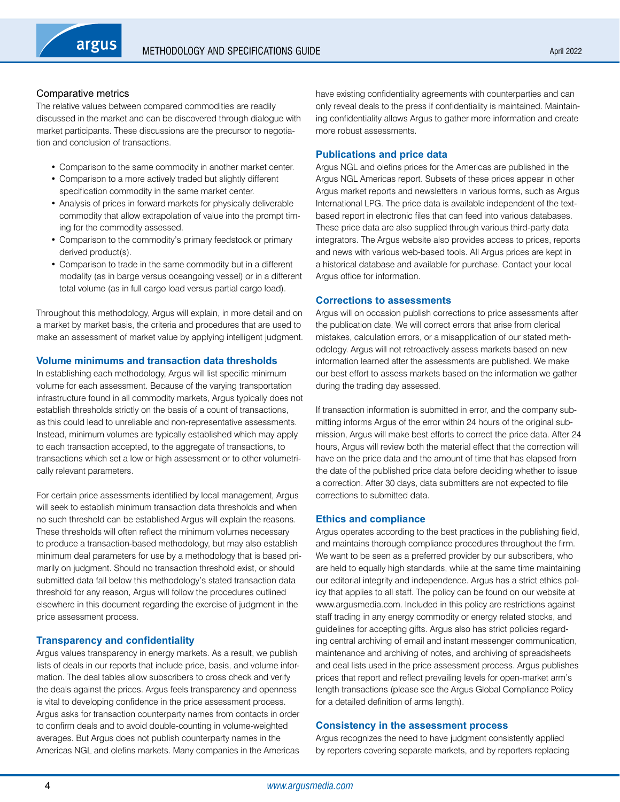## Comparative metrics

The relative values between compared commodities are readily discussed in the market and can be discovered through dialogue with market participants. These discussions are the precursor to negotiation and conclusion of transactions.

- Comparison to the same commodity in another market center.
- Comparison to a more actively traded but slightly different specification commodity in the same market center.
- Analysis of prices in forward markets for physically deliverable commodity that allow extrapolation of value into the prompt timing for the commodity assessed.
- Comparison to the commodity's primary feedstock or primary derived product(s).
- Comparison to trade in the same commodity but in a different modality (as in barge versus oceangoing vessel) or in a different total volume (as in full cargo load versus partial cargo load).

Throughout this methodology, Argus will explain, in more detail and on a market by market basis, the criteria and procedures that are used to make an assessment of market value by applying intelligent judgment.

## **Volume minimums and transaction data thresholds**

In establishing each methodology, Argus will list specific minimum volume for each assessment. Because of the varying transportation infrastructure found in all commodity markets, Argus typically does not establish thresholds strictly on the basis of a count of transactions, as this could lead to unreliable and non-representative assessments. Instead, minimum volumes are typically established which may apply to each transaction accepted, to the aggregate of transactions, to transactions which set a low or high assessment or to other volumetrically relevant parameters.

For certain price assessments identified by local management, Argus will seek to establish minimum transaction data thresholds and when no such threshold can be established Argus will explain the reasons. These thresholds will often reflect the minimum volumes necessary to produce a transaction-based methodology, but may also establish minimum deal parameters for use by a methodology that is based primarily on judgment. Should no transaction threshold exist, or should submitted data fall below this methodology's stated transaction data threshold for any reason, Argus will follow the procedures outlined elsewhere in this document regarding the exercise of judgment in the price assessment process.

## **Transparency and confidentiality**

Argus values transparency in energy markets. As a result, we publish lists of deals in our reports that include price, basis, and volume information. The deal tables allow subscribers to cross check and verify the deals against the prices. Argus feels transparency and openness is vital to developing confidence in the price assessment process. Argus asks for transaction counterparty names from contacts in order to confirm deals and to avoid double-counting in volume-weighted averages. But Argus does not publish counterparty names in the Americas NGL and olefins markets. Many companies in the Americas have existing confidentiality agreements with counterparties and can only reveal deals to the press if confidentiality is maintained. Maintaining confidentiality allows Argus to gather more information and create more robust assessments.

## **Publications and price data**

Argus NGL and olefins prices for the Americas are published in the Argus NGL Americas report. Subsets of these prices appear in other Argus market reports and newsletters in various forms, such as Argus International LPG. The price data is available independent of the textbased report in electronic files that can feed into various databases. These price data are also supplied through various third-party data integrators. The Argus website also provides access to prices, reports and news with various web-based tools. All Argus prices are kept in a historical database and available for purchase. Contact your local Argus office for information.

## **Corrections to assessments**

Argus will on occasion publish corrections to price assessments after the publication date. We will correct errors that arise from clerical mistakes, calculation errors, or a misapplication of our stated methodology. Argus will not retroactively assess markets based on new information learned after the assessments are published. We make our best effort to assess markets based on the information we gather during the trading day assessed.

If transaction information is submitted in error, and the company submitting informs Argus of the error within 24 hours of the original submission, Argus will make best efforts to correct the price data. After 24 hours, Argus will review both the material effect that the correction will have on the price data and the amount of time that has elapsed from the date of the published price data before deciding whether to issue a correction. After 30 days, data submitters are not expected to file corrections to submitted data.

## **Ethics and compliance**

Argus operates according to the best practices in the publishing field, and maintains thorough compliance procedures throughout the firm. We want to be seen as a preferred provider by our subscribers, who are held to equally high standards, while at the same time maintaining our editorial integrity and independence. Argus has a strict ethics policy that applies to all staff. The policy can be found on our website at www.argusmedia.com. Included in this policy are restrictions against staff trading in any energy commodity or energy related stocks, and guidelines for accepting gifts. Argus also has strict policies regarding central archiving of email and instant messenger communication, maintenance and archiving of notes, and archiving of spreadsheets and deal lists used in the price assessment process. Argus publishes prices that report and reflect prevailing levels for open-market arm's length transactions (please see the Argus Global Compliance Policy for a detailed definition of arms length).

## **Consistency in the assessment process**

Argus recognizes the need to have judgment consistently applied by reporters covering separate markets, and by reporters replacing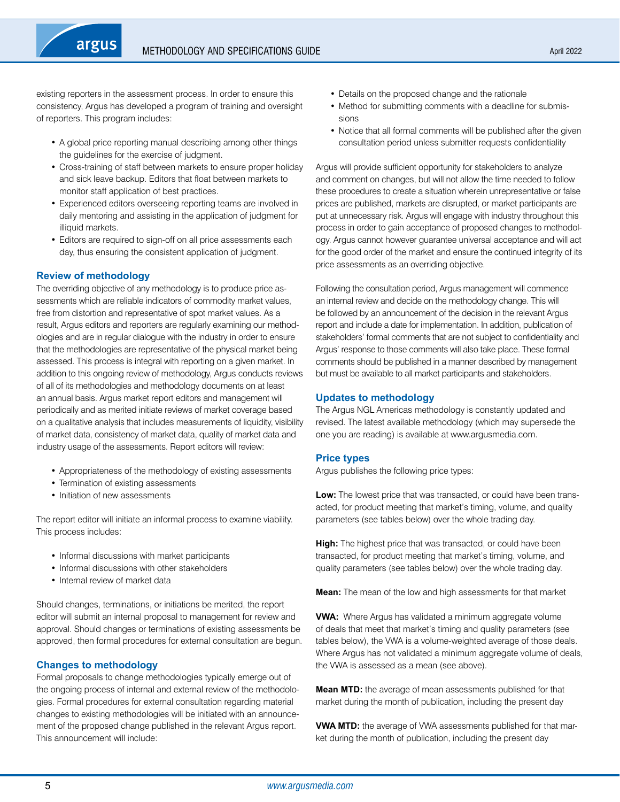existing reporters in the assessment process. In order to ensure this consistency, Argus has developed a program of training and oversight of reporters. This program includes:

- A global price reporting manual describing among other things the guidelines for the exercise of judgment.
- Cross-training of staff between markets to ensure proper holiday and sick leave backup. Editors that float between markets to monitor staff application of best practices.
- Experienced editors overseeing reporting teams are involved in daily mentoring and assisting in the application of judgment for illiquid markets.
- Editors are required to sign-off on all price assessments each day, thus ensuring the consistent application of judgment.

## **Review of methodology**

argus

The overriding objective of any methodology is to produce price assessments which are reliable indicators of commodity market values, free from distortion and representative of spot market values. As a result, Argus editors and reporters are regularly examining our methodologies and are in regular dialogue with the industry in order to ensure that the methodologies are representative of the physical market being assessed. This process is integral with reporting on a given market. In addition to this ongoing review of methodology, Argus conducts reviews of all of its methodologies and methodology documents on at least an annual basis. Argus market report editors and management will periodically and as merited initiate reviews of market coverage based on a qualitative analysis that includes measurements of liquidity, visibility of market data, consistency of market data, quality of market data and industry usage of the assessments. Report editors will review:

- Appropriateness of the methodology of existing assessments
- Termination of existing assessments
- Initiation of new assessments

The report editor will initiate an informal process to examine viability. This process includes:

- Informal discussions with market participants
- Informal discussions with other stakeholders
- Internal review of market data

Should changes, terminations, or initiations be merited, the report editor will submit an internal proposal to management for review and approval. Should changes or terminations of existing assessments be approved, then formal procedures for external consultation are begun.

## **Changes to methodology**

Formal proposals to change methodologies typically emerge out of the ongoing process of internal and external review of the methodologies. Formal procedures for external consultation regarding material changes to existing methodologies will be initiated with an announcement of the proposed change published in the relevant Argus report. This announcement will include:

- Details on the proposed change and the rationale
- Method for submitting comments with a deadline for submissions
- Notice that all formal comments will be published after the given consultation period unless submitter requests confidentiality

Argus will provide sufficient opportunity for stakeholders to analyze and comment on changes, but will not allow the time needed to follow these procedures to create a situation wherein unrepresentative or false prices are published, markets are disrupted, or market participants are put at unnecessary risk. Argus will engage with industry throughout this process in order to gain acceptance of proposed changes to methodology. Argus cannot however guarantee universal acceptance and will act for the good order of the market and ensure the continued integrity of its price assessments as an overriding objective.

Following the consultation period, Argus management will commence an internal review and decide on the methodology change. This will be followed by an announcement of the decision in the relevant Argus report and include a date for implementation. In addition, publication of stakeholders' formal comments that are not subject to confidentiality and Argus' response to those comments will also take place. These formal comments should be published in a manner described by management but must be available to all market participants and stakeholders.

#### **Updates to methodology**

The Argus NGL Americas methodology is constantly updated and revised. The latest available methodology (which may supersede the one you are reading) is available at www.argusmedia.com.

#### **Price types**

Argus publishes the following price types:

**Low:** The lowest price that was transacted, or could have been transacted, for product meeting that market's timing, volume, and quality parameters (see tables below) over the whole trading day.

**High:** The highest price that was transacted, or could have been transacted, for product meeting that market's timing, volume, and quality parameters (see tables below) over the whole trading day.

**Mean:** The mean of the low and high assessments for that market

**VWA:** Where Argus has validated a minimum aggregate volume of deals that meet that market's timing and quality parameters (see tables below), the VWA is a volume-weighted average of those deals. Where Argus has not validated a minimum aggregate volume of deals, the VWA is assessed as a mean (see above).

**Mean MTD:** the average of mean assessments published for that market during the month of publication, including the present day

**VWA MTD:** the average of VWA assessments published for that market during the month of publication, including the present day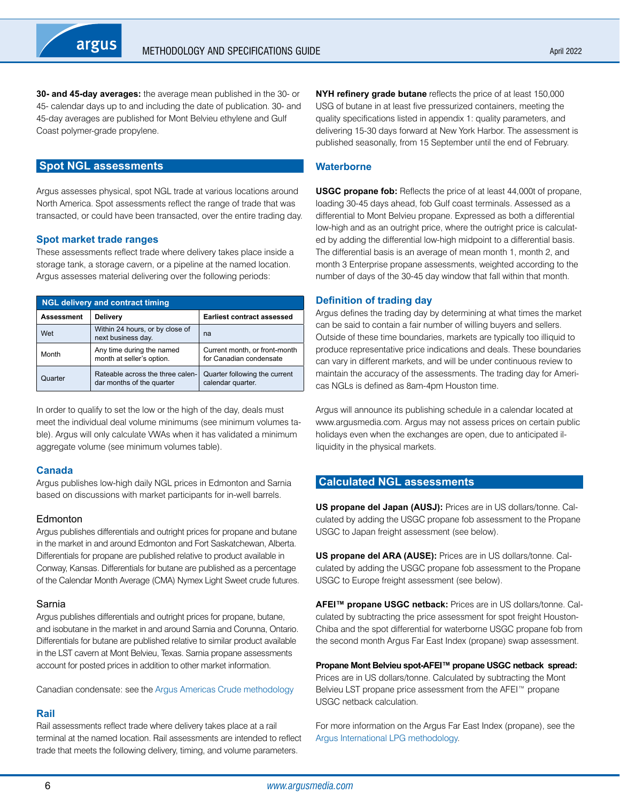<span id="page-5-0"></span>**30- and 45-day averages:** the average mean published in the 30- or 45- calendar days up to and including the date of publication. 30- and 45-day averages are published for Mont Belvieu ethylene and Gulf Coast polymer-grade propylene.

## **Spot NGL assessments**

Argus assesses physical, spot NGL trade at various locations around North America. Spot assessments reflect the range of trade that was transacted, or could have been transacted, over the entire trading day.

#### **Spot market trade ranges**

These assessments reflect trade where delivery takes place inside a storage tank, a storage cavern, or a pipeline at the named location. Argus assesses material delivering over the following periods:

| <b>NGL delivery and contract timing</b> |                                                               |                                                          |  |  |  |  |  |  |  |  |  |  |  |  |
|-----------------------------------------|---------------------------------------------------------------|----------------------------------------------------------|--|--|--|--|--|--|--|--|--|--|--|--|
| Assessment                              | <b>Delivery</b>                                               | <b>Earliest contract assessed</b>                        |  |  |  |  |  |  |  |  |  |  |  |  |
| Wet                                     | Within 24 hours, or by close of<br>next business day.         | na                                                       |  |  |  |  |  |  |  |  |  |  |  |  |
| Month                                   | Any time during the named<br>month at seller's option.        | Current month, or front-month<br>for Canadian condensate |  |  |  |  |  |  |  |  |  |  |  |  |
| Quarter                                 | Rateable across the three calen-<br>dar months of the quarter | Quarter following the current<br>calendar quarter.       |  |  |  |  |  |  |  |  |  |  |  |  |

In order to qualify to set the low or the high of the day, deals must meet the individual deal volume minimums (see minimum volumes table). Argus will only calculate VWAs when it has validated a minimum aggregate volume (see minimum volumes table).

## **Canada**

Argus publishes low-high daily NGL prices in Edmonton and Sarnia based on discussions with market participants for in-well barrels.

## **Edmonton**

Argus publishes differentials and outright prices for propane and butane in the market in and around Edmonton and Fort Saskatchewan, Alberta. Differentials for propane are published relative to product available in Conway, Kansas. Differentials for butane are published as a percentage of the Calendar Month Average (CMA) Nymex Light Sweet crude futures.

#### Sarnia

Argus publishes differentials and outright prices for propane, butane, and isobutane in the market in and around Sarnia and Corunna, Ontario. Differentials for butane are published relative to similar product available in the LST cavern at Mont Belvieu, Texas. Sarnia propane assessments account for posted prices in addition to other market information.

Canadian condensate: see the [Argus Americas Crude methodology](https://www.argusmedia.com/-/media/Files/methodology/argus-americas-crude.ashx)

## **Rail**

Rail assessments reflect trade where delivery takes place at a rail terminal at the named location. Rail assessments are intended to reflect trade that meets the following delivery, timing, and volume parameters.

**NYH refinery grade butane** reflects the price of at least 150,000 USG of butane in at least five pressurized containers, meeting the quality specifications listed in appendix 1: quality parameters, and delivering 15-30 days forward at New York Harbor. The assessment is published seasonally, from 15 September until the end of February.

## **Waterborne**

**USGC propane fob:** Reflects the price of at least 44,000t of propane, loading 30-45 days ahead, fob Gulf coast terminals. Assessed as a differential to Mont Belvieu propane. Expressed as both a differential low-high and as an outright price, where the outright price is calculated by adding the differential low-high midpoint to a differential basis. The differential basis is an average of mean month 1, month 2, and month 3 Enterprise propane assessments, weighted according to the number of days of the 30-45 day window that fall within that month.

## **Definition of trading day**

Argus defines the trading day by determining at what times the market can be said to contain a fair number of willing buyers and sellers. Outside of these time boundaries, markets are typically too illiquid to produce representative price indications and deals. These boundaries can vary in different markets, and will be under continuous review to maintain the accuracy of the assessments. The trading day for Americas NGLs is defined as 8am-4pm Houston time.

Argus will announce its publishing schedule in a calendar located at www.argusmedia.com. Argus may not assess prices on certain public holidays even when the exchanges are open, due to anticipated illiquidity in the physical markets.

## **Calculated NGL assessments**

**US propane del Japan (AUSJ):** Prices are in US dollars/tonne. Calculated by adding the USGC propane fob assessment to the Propane USGC to Japan freight assessment (see below).

**US propane del ARA (AUSE):** Prices are in US dollars/tonne. Calculated by adding the USGC propane fob assessment to the Propane USGC to Europe freight assessment (see below).

**AFEI™ propane USGC netback:** Prices are in US dollars/tonne. Calculated by subtracting the price assessment for spot freight Houston-Chiba and the spot differential for waterborne USGC propane fob from the second month Argus Far East Index (propane) swap assessment.

**Propane Mont Belvieu spot-AFEI™ propane USGC netback spread:**

Prices are in US dollars/tonne. Calculated by subtracting the Mont Belvieu LST propane price assessment from the AFEI™ propane USGC netback calculation.

For more information on the Argus Far East Index (propane), see the [Argus International LPG methodology.](https://www.argusmedia.com/-/media/Files/methodology/argus-international-lpg.ashx)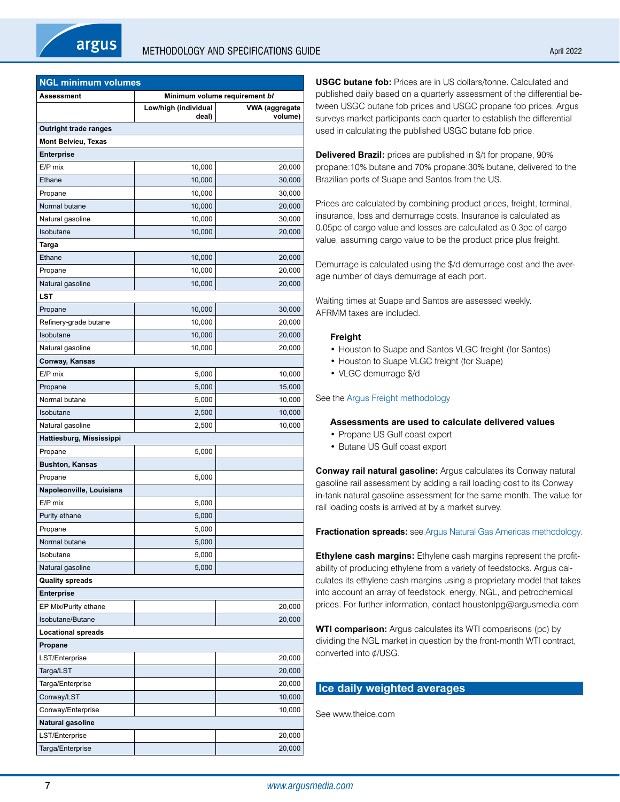<span id="page-6-0"></span>

| <b>NGL minimum volumes</b>   |                               |                           |  |  |  |  |  |  |  |  |  |  |  |
|------------------------------|-------------------------------|---------------------------|--|--|--|--|--|--|--|--|--|--|--|
| Assessment                   | Minimum volume requirement bl |                           |  |  |  |  |  |  |  |  |  |  |  |
|                              | Low/high (individual<br>deal) | VWA (aggregate<br>volume) |  |  |  |  |  |  |  |  |  |  |  |
| <b>Outright trade ranges</b> |                               |                           |  |  |  |  |  |  |  |  |  |  |  |
| <b>Mont Belvieu, Texas</b>   |                               |                           |  |  |  |  |  |  |  |  |  |  |  |
| <b>Enterprise</b>            |                               |                           |  |  |  |  |  |  |  |  |  |  |  |
| E/P mix                      | 10,000                        | 20,000                    |  |  |  |  |  |  |  |  |  |  |  |
| Ethane                       | 10,000                        | 30,000                    |  |  |  |  |  |  |  |  |  |  |  |
| Propane                      | 10,000                        | 30,000                    |  |  |  |  |  |  |  |  |  |  |  |
| Normal butane                | 10,000                        | 20,000                    |  |  |  |  |  |  |  |  |  |  |  |
| Natural gasoline             | 10,000                        | 30,000                    |  |  |  |  |  |  |  |  |  |  |  |
| Isobutane                    | 10,000                        | 20,000                    |  |  |  |  |  |  |  |  |  |  |  |
| Targa                        |                               |                           |  |  |  |  |  |  |  |  |  |  |  |
| Ethane                       | 10,000                        | 20,000                    |  |  |  |  |  |  |  |  |  |  |  |
| Propane                      | 10,000                        | 20,000                    |  |  |  |  |  |  |  |  |  |  |  |
| Natural gasoline             | 10,000                        | 20,000                    |  |  |  |  |  |  |  |  |  |  |  |
| LST                          |                               |                           |  |  |  |  |  |  |  |  |  |  |  |
| Propane                      | 10,000                        | 30,000                    |  |  |  |  |  |  |  |  |  |  |  |
| Refinery-grade butane        | 10,000                        | 20,000                    |  |  |  |  |  |  |  |  |  |  |  |
| Isobutane                    | 10,000                        | 20,000                    |  |  |  |  |  |  |  |  |  |  |  |
| Natural gasoline             | 10,000                        | 20,000                    |  |  |  |  |  |  |  |  |  |  |  |
| Conway, Kansas               |                               |                           |  |  |  |  |  |  |  |  |  |  |  |
| E/P mix                      | 5,000                         | 10,000                    |  |  |  |  |  |  |  |  |  |  |  |
| Propane                      | 5,000                         | 15,000                    |  |  |  |  |  |  |  |  |  |  |  |
| Normal butane                | 5,000                         | 10,000                    |  |  |  |  |  |  |  |  |  |  |  |
| Isobutane                    | 2,500                         | 10,000                    |  |  |  |  |  |  |  |  |  |  |  |
| Natural gasoline             | 2,500                         | 10,000                    |  |  |  |  |  |  |  |  |  |  |  |
| Hattiesburg, Mississippi     |                               |                           |  |  |  |  |  |  |  |  |  |  |  |
| Propane                      | 5,000                         |                           |  |  |  |  |  |  |  |  |  |  |  |
| <b>Bushton, Kansas</b>       |                               |                           |  |  |  |  |  |  |  |  |  |  |  |
| Propane                      | 5,000                         |                           |  |  |  |  |  |  |  |  |  |  |  |
| Napoleonville, Louisiana     |                               |                           |  |  |  |  |  |  |  |  |  |  |  |
| E/P mix                      | 5,000                         |                           |  |  |  |  |  |  |  |  |  |  |  |
| Purity ethane                | 5,000                         |                           |  |  |  |  |  |  |  |  |  |  |  |
| Propane                      | 5,000                         |                           |  |  |  |  |  |  |  |  |  |  |  |
| Normal butane                | 5,000                         |                           |  |  |  |  |  |  |  |  |  |  |  |
| Isobutane                    | 5,000                         |                           |  |  |  |  |  |  |  |  |  |  |  |
| Natural gasoline             | 5,000                         |                           |  |  |  |  |  |  |  |  |  |  |  |
| <b>Quality spreads</b>       |                               |                           |  |  |  |  |  |  |  |  |  |  |  |
| <b>Enterprise</b>            |                               |                           |  |  |  |  |  |  |  |  |  |  |  |
| EP Mix/Purity ethane         |                               | 20,000                    |  |  |  |  |  |  |  |  |  |  |  |
| Isobutane/Butane             |                               | 20,000                    |  |  |  |  |  |  |  |  |  |  |  |
| <b>Locational spreads</b>    |                               |                           |  |  |  |  |  |  |  |  |  |  |  |
| Propane                      |                               |                           |  |  |  |  |  |  |  |  |  |  |  |
| LST/Enterprise               |                               | 20,000                    |  |  |  |  |  |  |  |  |  |  |  |
| Targa/LST                    |                               | 20,000                    |  |  |  |  |  |  |  |  |  |  |  |
| Targa/Enterprise             |                               | 20,000                    |  |  |  |  |  |  |  |  |  |  |  |
| Conway/LST                   |                               | 10,000                    |  |  |  |  |  |  |  |  |  |  |  |
| Conway/Enterprise            |                               | 10,000                    |  |  |  |  |  |  |  |  |  |  |  |
| Natural gasoline             |                               |                           |  |  |  |  |  |  |  |  |  |  |  |
| LST/Enterprise               |                               | 20,000                    |  |  |  |  |  |  |  |  |  |  |  |
| Targa/Enterprise             |                               | 20,000                    |  |  |  |  |  |  |  |  |  |  |  |
|                              |                               |                           |  |  |  |  |  |  |  |  |  |  |  |

**USGC butane fob:** Prices are in US dollars/tonne. Calculated and published daily based on a quarterly assessment of the differential between USGC butane fob prices and USGC propane fob prices. Argus surveys market participants each quarter to establish the differential used in calculating the published USGC butane fob price.

**Delivered Brazil:** prices are published in \$/t for propane, 90% propane:10% butane and 70% propane:30% butane, delivered to the Brazilian ports of Suape and Santos from the US.

Prices are calculated by combining product prices, freight, terminal, insurance, loss and demurrage costs. Insurance is calculated as 0.05pc of cargo value and losses are calculated as 0.3pc of cargo value, assuming cargo value to be the product price plus freight.

Demurrage is calculated using the \$/d demurrage cost and the average number of days demurrage at each port.

Waiting times at Suape and Santos are assessed weekly. AFRMM taxes are included.

## **Freight**

- Houston to Suape and Santos VLGC freight (for Santos)
- Houston to Suape VLGC freight (for Suape)
- VLGC demurrage \$/d

#### See the [Argus Freight methodology](https://www.argusmedia.com/-/media/Files/methodology/argus-freight.ashx)

#### **Assessments are used to calculate delivered values**

- Propane US Gulf coast export
- Butane US Gulf coast export

**Conway rail natural gasoline:** Argus calculates its Conway natural gasoline rail assessment by adding a rail loading cost to its Conway in-tank natural gasoline assessment for the same month. The value for rail loading costs is arrived at by a market survey.

**Fractionation spreads:** see [Argus Natural Gas Americas methodology](https://www.argusmedia.com/-/media/Files/methodology/argus-natural-gas-americas.ashx).

**Ethylene cash margins:** Ethylene cash margins represent the profitability of producing ethylene from a variety of feedstocks. Argus calculates its ethylene cash margins using a proprietary model that takes into account an array of feedstock, energy, NGL, and petrochemical prices. For further information, contact houstonlpg@argusmedia.com

**WTI comparison:** Argus calculates its WTI comparisons (pc) by dividing the NGL market in question by the front-month WTI contract, converted into ¢/USG.

## **Ice daily weighted averages**

See www.theice.com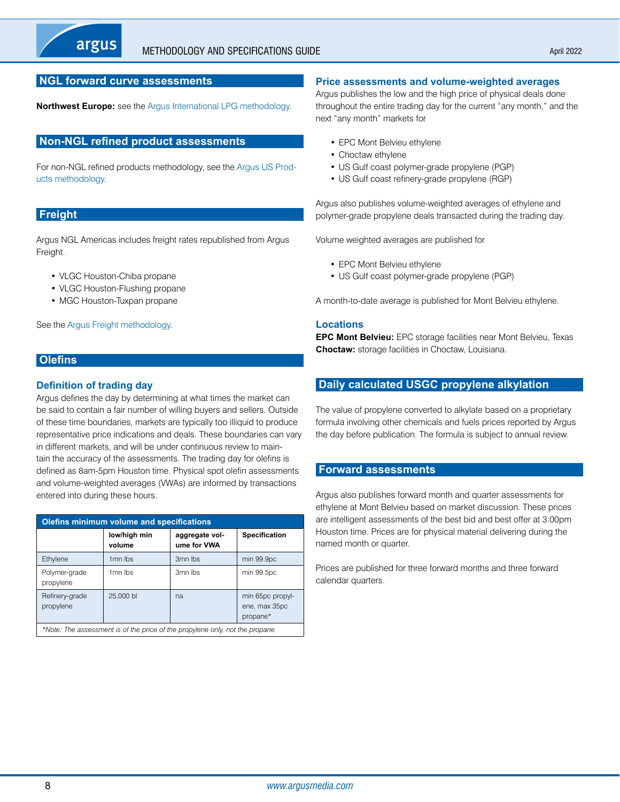## <span id="page-7-0"></span>**NGL forward curve assessments**

**Northwest Europe:** see the [Argus International LPG methodology.](https://www.argusmedia.com/-/media/Files/methodology/argus-international-lpg.ashx)

#### **Non-NGL refined product assessments**

For non-NGL refined products methodology, see the [Argus US Prod](https://www.argusmedia.com/-/media/Files/methodology/argus-us-products.ashx)[ucts methodology.](https://www.argusmedia.com/-/media/Files/methodology/argus-us-products.ashx)

## **Freight**

Argus NGL Americas includes freight rates republished from Argus Freight.

- VLGC Houston-Chiba propane
- VLGC Houston-Flushing propane
- MGC Houston-Tuxpan propane

See the [Argus Freight methodology](https://www.argusmedia.com/-/media/Files/methodology/argus-freight.ashx).

## **Olefins**

## **Definition of trading day**

Argus defines the day by determining at what times the market can be said to contain a fair number of willing buyers and sellers. Outside of these time boundaries, markets are typically too illiquid to produce representative price indications and deals. These boundaries can vary in different markets, and will be under continuous review to maintain the accuracy of the assessments. The trading day for olefins is defined as 8am-5pm Houston time. Physical spot olefin assessments and volume-weighted averages (VWAs) are informed by transactions entered into during these hours.

| <b>Olefins minimum volume and specifications</b> |                        |                                                                              |                                               |  |  |  |  |  |  |  |  |  |  |  |
|--------------------------------------------------|------------------------|------------------------------------------------------------------------------|-----------------------------------------------|--|--|--|--|--|--|--|--|--|--|--|
|                                                  | low/high min<br>volume | aggregate vol-<br>ume for VWA                                                | <b>Specification</b>                          |  |  |  |  |  |  |  |  |  |  |  |
| Ethylene                                         | 1 <sub>mn</sub> lbs    | 3 <sub>mn</sub> lbs                                                          | min 99.9pc                                    |  |  |  |  |  |  |  |  |  |  |  |
| Polymer-grade<br>propylene                       | 1 <sub>mn</sub> lbs    | 3 <sub>mn</sub> lbs                                                          | min 99.5pc                                    |  |  |  |  |  |  |  |  |  |  |  |
| Refinery-grade<br>propylene                      | 25,000 bl              | na                                                                           | min 65pc propyl-<br>ene, max 35pc<br>propane* |  |  |  |  |  |  |  |  |  |  |  |
|                                                  |                        | *Note: The assessment is of the price of the propylene only, not the propane |                                               |  |  |  |  |  |  |  |  |  |  |  |

#### **Price assessments and volume-weighted averages**

Argus publishes the low and the high price of physical deals done throughout the entire trading day for the current "any month," and the next "any month" markets for

- EPC Mont Belvieu ethylene
- Choctaw ethylene
- US Gulf coast polymer-grade propylene (PGP)
- US Gulf coast refinery-grade propylene (RGP)

Argus also publishes volume-weighted averages of ethylene and polymer-grade propylene deals transacted during the trading day.

Volume weighted averages are published for

- EPC Mont Belvieu ethylene
- US Gulf coast polymer-grade propylene (PGP)

A month-to-date average is published for Mont Belvieu ethylene.

#### **Locations**

**EPC Mont Belvieu:** EPC storage facilities near Mont Belvieu, Texas **Choctaw:** storage facilities in Choctaw, Louisiana.

## **Daily calculated USGC propylene alkylation**

The value of propylene converted to alkylate based on a proprietary formula involving other chemicals and fuels prices reported by Argus the day before publication. The formula is subject to annual review.

## **Forward assessments**

Argus also publishes forward month and quarter assessments for ethylene at Mont Belvieu based on market discussion. These prices are intelligent assessments of the best bid and best offer at 3:00pm Houston time. Prices are for physical material delivering during the named month or quarter.

Prices are published for three forward months and three forward calendar quarters.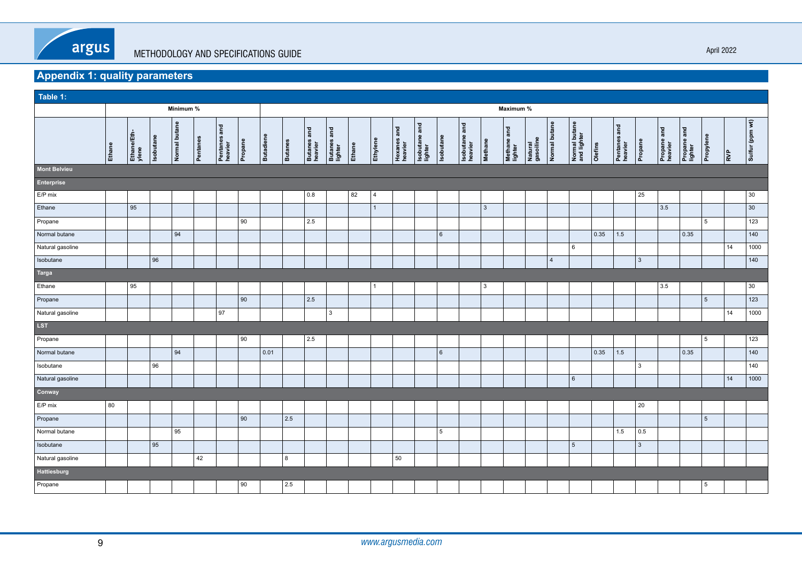<span id="page-8-0"></span>

# **Appendix 1: quality parameters**

| Table 1:            |        |                      |                  |               |          |                         |         |                  |                |                        |                        |        |                |                        |                          |                 |                          |              |                        |                      |                |                              |                |                         |                |                        |                        |           |                                                |                 |
|---------------------|--------|----------------------|------------------|---------------|----------|-------------------------|---------|------------------|----------------|------------------------|------------------------|--------|----------------|------------------------|--------------------------|-----------------|--------------------------|--------------|------------------------|----------------------|----------------|------------------------------|----------------|-------------------------|----------------|------------------------|------------------------|-----------|------------------------------------------------|-----------------|
|                     |        |                      |                  | Minimum %     |          |                         |         |                  |                |                        |                        |        |                |                        |                          |                 |                          |              | Maximum %              |                      |                |                              |                |                         |                |                        |                        |           |                                                |                 |
|                     | Ethane | Ethane/Eth-<br>ylene | <b>Isobutane</b> | Normal butane | Pentanes | Pentanes and<br>heavier | Propane | <b>Butadiene</b> | <b>Butanes</b> | Butanes and<br>heavier | Butanes and<br>lighter | Ethane | Ethylene       | Hexanes and<br>heavier | Isobutane and<br>lighter | Isobutane       | Isobutane and<br>heavier | Methane      | Methane and<br>lighter | Natural<br>gasoiline | Normal butane  | Normal butane<br>and lighter |                | Pentanes and<br>heavier | Propane        | Propane and<br>heavier | Propane and<br>lighter | Propylene | $\left  \frac{\mathbf{e}}{\mathbf{h}} \right $ | Sulfur (ppm wt) |
| <b>Mont Belvieu</b> |        |                      |                  |               |          |                         |         |                  |                |                        |                        |        |                |                        |                          |                 |                          |              |                        |                      |                |                              |                |                         |                |                        |                        |           |                                                |                 |
| Enterprise          |        |                      |                  |               |          |                         |         |                  |                |                        |                        |        |                |                        |                          |                 |                          |              |                        |                      |                |                              |                |                         |                |                        |                        |           |                                                |                 |
| $E/P$ mix           |        |                      |                  |               |          |                         |         |                  |                | 0.8                    |                        | 82     | $\vert$ 4      |                        |                          |                 |                          |              |                        |                      |                |                              |                |                         | 25             |                        |                        |           |                                                | $ 30\rangle$    |
| Ethane              |        | 95                   |                  |               |          |                         |         |                  |                |                        |                        |        | $\overline{1}$ |                        |                          |                 |                          | $\mathbf{3}$ |                        |                      |                |                              |                |                         |                | 3.5                    |                        |           |                                                | $ 30\rangle$    |
| Propane             |        |                      |                  |               |          |                         | 90      |                  |                | 2.5                    |                        |        |                |                        |                          |                 |                          |              |                        |                      |                |                              |                |                         |                |                        |                        | 5         |                                                | 123             |
| Normal butane       |        |                      |                  | 94            |          |                         |         |                  |                |                        |                        |        |                |                        |                          | $6\overline{6}$ |                          |              |                        |                      |                |                              | 0.35           | $1.5$                   |                |                        | 0.35                   |           |                                                | 140             |
| Natural gasoline    |        |                      |                  |               |          |                         |         |                  |                |                        |                        |        |                |                        |                          |                 |                          |              |                        |                      |                | $\,6\,$                      |                |                         |                |                        |                        |           | 14                                             | 1000            |
| Isobutane           |        |                      | 96               |               |          |                         |         |                  |                |                        |                        |        |                |                        |                          |                 |                          |              |                        |                      | $\overline{4}$ |                              |                |                         | $\overline{3}$ |                        |                        |           |                                                | 140             |
| Targa               |        |                      |                  |               |          |                         |         |                  |                |                        |                        |        |                |                        |                          |                 |                          |              |                        |                      |                |                              |                |                         |                |                        |                        |           |                                                |                 |
| Ethane              |        | 95                   |                  |               |          |                         |         |                  |                |                        |                        |        | $\vert$ 1      |                        |                          |                 |                          | 3            |                        |                      |                |                              |                |                         |                | 3.5                    |                        |           |                                                | $ 30\rangle$    |
| Propane             |        |                      |                  |               |          |                         | 90      |                  |                | $\vert$ 2.5            |                        |        |                |                        |                          |                 |                          |              |                        |                      |                |                              |                |                         |                |                        |                        | 5         |                                                | 123             |
| Natural gasoline    |        |                      |                  |               |          | 97                      |         |                  |                |                        | 3                      |        |                |                        |                          |                 |                          |              |                        |                      |                |                              |                |                         |                |                        |                        |           | 14                                             | 1000            |
| LST                 |        |                      |                  |               |          |                         |         |                  |                |                        |                        |        |                |                        |                          |                 |                          |              |                        |                      |                |                              |                |                         |                |                        |                        |           |                                                |                 |
| Propane             |        |                      |                  |               |          |                         | 90      |                  |                | 2.5                    |                        |        |                |                        |                          |                 |                          |              |                        |                      |                |                              |                |                         |                |                        |                        | 5         |                                                | 123             |
| Normal butane       |        |                      |                  | 94            |          |                         |         | 0.01             |                |                        |                        |        |                |                        |                          | $6\phantom{1}$  |                          |              |                        |                      |                |                              | $ 0.35\rangle$ | $1.5$                   |                |                        | 0.35                   |           |                                                | 140             |
| Isobutane           |        |                      | 96               |               |          |                         |         |                  |                |                        |                        |        |                |                        |                          |                 |                          |              |                        |                      |                |                              |                |                         | 3              |                        |                        |           |                                                | 140             |
| Natural gasoline    |        |                      |                  |               |          |                         |         |                  |                |                        |                        |        |                |                        |                          |                 |                          |              |                        |                      |                | $6\phantom{.}6$              |                |                         |                |                        |                        |           | 14                                             | 1000            |
| Conway              |        |                      |                  |               |          |                         |         |                  |                |                        |                        |        |                |                        |                          |                 |                          |              |                        |                      |                |                              |                |                         |                |                        |                        |           |                                                |                 |
| $E/P$ mix           | 80     |                      |                  |               |          |                         |         |                  |                |                        |                        |        |                |                        |                          |                 |                          |              |                        |                      |                |                              |                |                         | 20             |                        |                        |           |                                                |                 |
| Propane             |        |                      |                  |               |          |                         | 90      |                  | $ 2.5\rangle$  |                        |                        |        |                |                        |                          |                 |                          |              |                        |                      |                |                              |                |                         |                |                        |                        | 5         |                                                |                 |
| Normal butane       |        |                      |                  | 95            |          |                         |         |                  |                |                        |                        |        |                |                        |                          | 5               |                          |              |                        |                      |                |                              |                | 1.5                     | 0.5            |                        |                        |           |                                                |                 |
| Isobutane           |        |                      | 95               |               |          |                         |         |                  |                |                        |                        |        |                |                        |                          |                 |                          |              |                        |                      |                | $5\overline{5}$              |                |                         | $\mathbf{3}$   |                        |                        |           |                                                |                 |
| Natural gasoline    |        |                      |                  |               | 42       |                         |         |                  | 8              |                        |                        |        |                | 50                     |                          |                 |                          |              |                        |                      |                |                              |                |                         |                |                        |                        |           |                                                |                 |
| Hattiesburg         |        |                      |                  |               |          |                         |         |                  |                |                        |                        |        |                |                        |                          |                 |                          |              |                        |                      |                |                              |                |                         |                |                        |                        |           |                                                |                 |
| Propane             |        |                      |                  |               |          |                         | 90      |                  | 2.5            |                        |                        |        |                |                        |                          |                 |                          |              |                        |                      |                |                              |                |                         |                |                        |                        | 5         |                                                |                 |